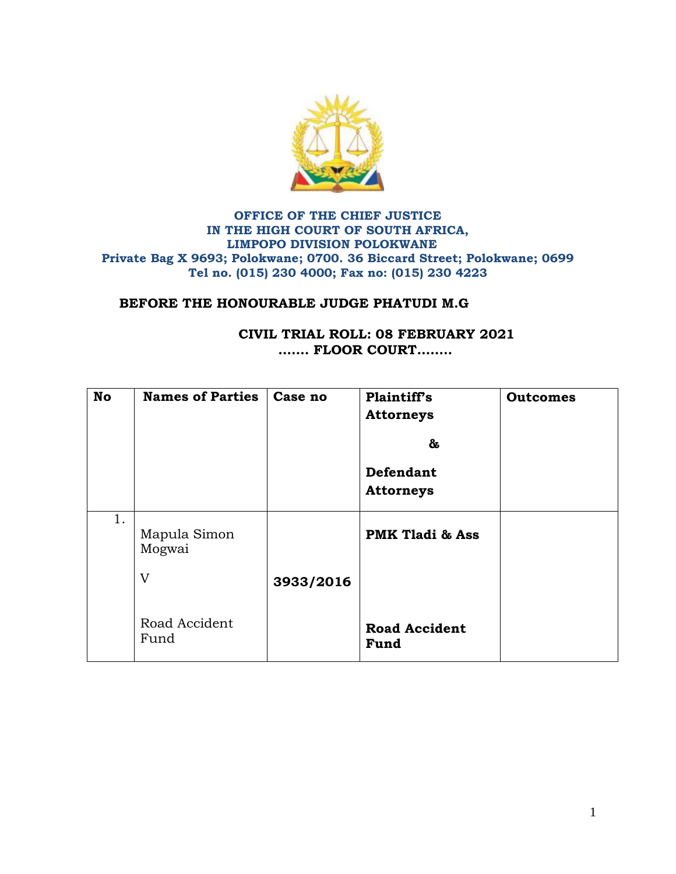

## **OFFICE OF THE CHIEF JUSTICE IN THE HIGH COURT OF SOUTH AFRICA, LIMPOPO DIVISION POLOKWANE Private Bag X 9693; Polokwane; 0700. 36 Biccard Street; Polokwane; 0699 Tel no. (015) 230 4000; Fax no: (015) 230 4223**

## **BEFORE THE HONOURABLE JUDGE PHATUDI M.G**

## **CIVIL TRIAL ROLL: 08 FEBRUARY 2021 ……. FLOOR COURT……..**

| <b>No</b> | <b>Names of Parties</b> | Case no   | Plaintiff's<br><b>Attorneys</b><br>&<br>Defendant<br><b>Attorneys</b> | <b>Outcomes</b> |
|-----------|-------------------------|-----------|-----------------------------------------------------------------------|-----------------|
| 1.        | Mapula Simon<br>Mogwai  |           | <b>PMK Tladi &amp; Ass</b>                                            |                 |
|           | V                       | 3933/2016 |                                                                       |                 |
|           | Road Accident<br>Fund   |           | <b>Road Accident</b><br>Fund                                          |                 |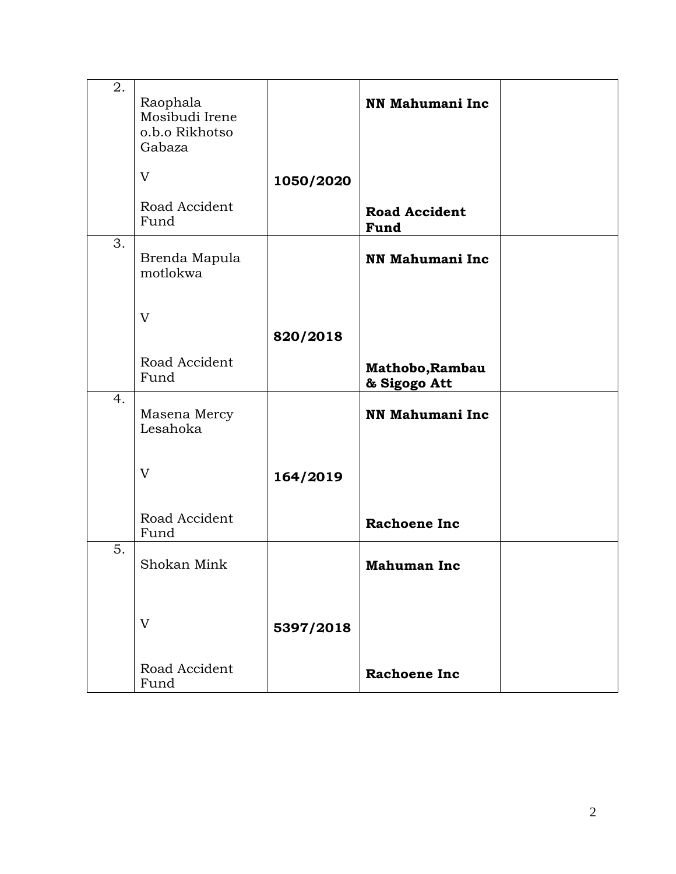| 2. | Raophala<br>Mosibudi Irene<br>o.b.o Rikhotso<br>Gabaza |           | <b>NN Mahumani Inc</b>          |  |
|----|--------------------------------------------------------|-----------|---------------------------------|--|
|    | V                                                      | 1050/2020 |                                 |  |
|    | Road Accident<br>Fund                                  |           | <b>Road Accident</b><br>Fund    |  |
| 3. | Brenda Mapula<br>motlokwa                              |           | <b>NN Mahumani Inc</b>          |  |
|    | V                                                      | 820/2018  |                                 |  |
|    | Road Accident<br>Fund                                  |           | Mathobo, Rambau<br>& Sigogo Att |  |
| 4. | Masena Mercy<br>Lesahoka                               |           | <b>NN Mahumani Inc</b>          |  |
|    | V                                                      | 164/2019  |                                 |  |
|    | Road Accident<br>Fund                                  |           | <b>Rachoene Inc</b>             |  |
| 5. | Shokan Mink                                            |           | <b>Mahuman Inc</b>              |  |
|    | V                                                      | 5397/2018 |                                 |  |
|    | Road Accident<br>Fund                                  |           | <b>Rachoene Inc</b>             |  |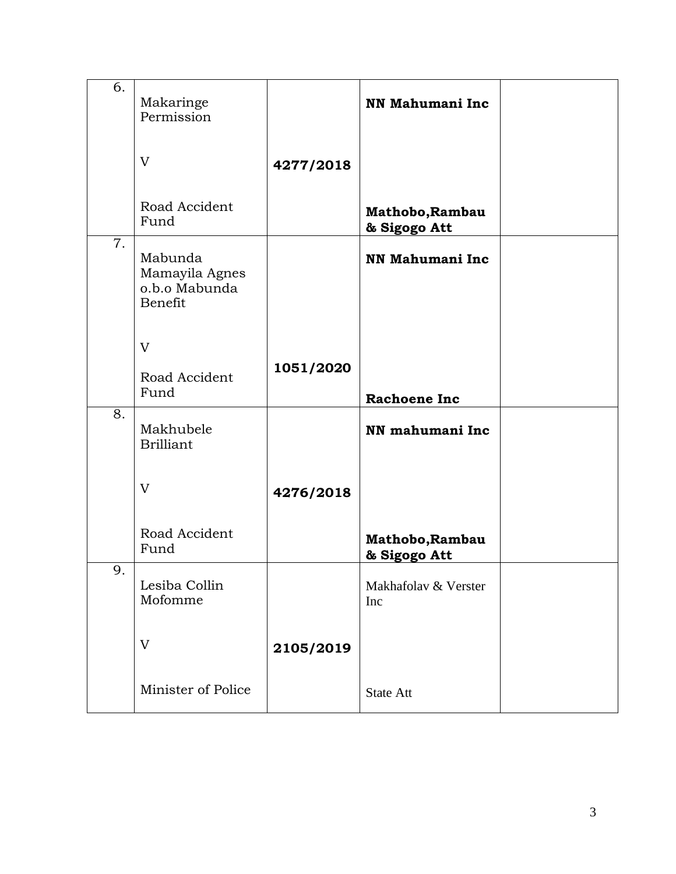| 6.               | Makaringe<br>Permission                               |           | NN Mahumani Inc                 |  |
|------------------|-------------------------------------------------------|-----------|---------------------------------|--|
|                  | V                                                     | 4277/2018 |                                 |  |
|                  | Road Accident<br>Fund                                 |           | Mathobo, Rambau<br>& Sigogo Att |  |
| $\overline{7}$ . | Mabunda<br>Mamayila Agnes<br>o.b.o Mabunda<br>Benefit |           | <b>NN Mahumani Inc</b>          |  |
|                  | V                                                     | 1051/2020 |                                 |  |
|                  | Road Accident<br>Fund                                 |           | <b>Rachoene Inc</b>             |  |
| 8.               | Makhubele<br><b>Brilliant</b>                         |           | NN mahumani Inc                 |  |
|                  | V                                                     | 4276/2018 |                                 |  |
|                  | Road Accident<br>Fund                                 |           | Mathobo, Rambau<br>& Sigogo Att |  |
| $\mathbf Q$      | Lesiba Collin<br>Mofomme                              |           | Makhafolav & Verster<br>Inc     |  |
|                  | V                                                     | 2105/2019 |                                 |  |
|                  | Minister of Police                                    |           | <b>State Att</b>                |  |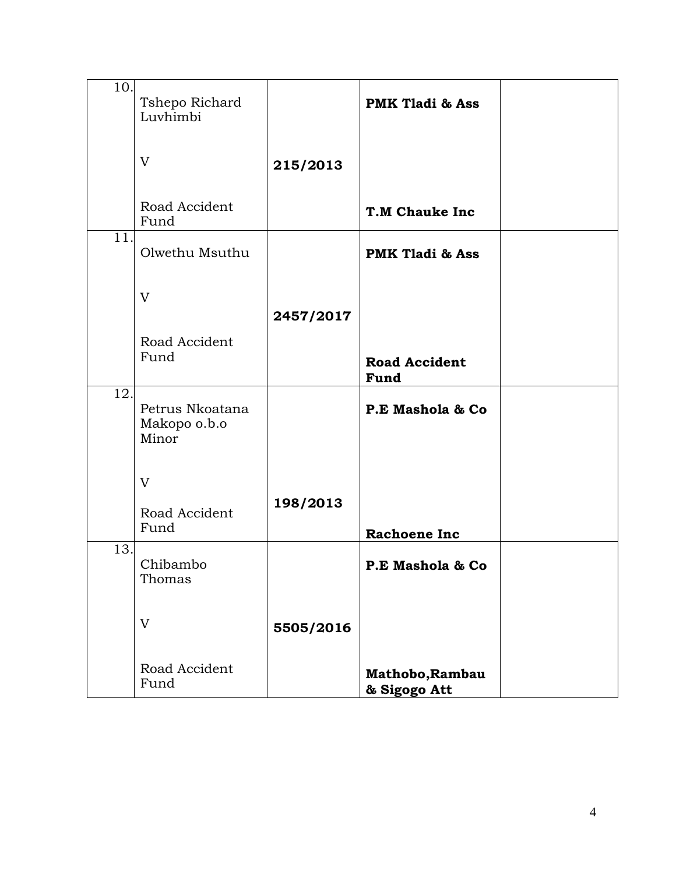| 10. | Tshepo Richard<br>Luvhimbi               |           | <b>PMK Tladi &amp; Ass</b>      |  |
|-----|------------------------------------------|-----------|---------------------------------|--|
|     | V                                        | 215/2013  |                                 |  |
|     | Road Accident<br>Fund                    |           | <b>T.M Chauke Inc</b>           |  |
| 11. | Olwethu Msuthu                           |           | <b>PMK Tladi &amp; Ass</b>      |  |
|     | V                                        | 2457/2017 |                                 |  |
|     | Road Accident<br>Fund                    |           | <b>Road Accident</b><br>Fund    |  |
| 12. | Petrus Nkoatana<br>Makopo o.b.o<br>Minor |           | P.E Mashola & Co                |  |
|     | V<br>Road Accident<br>Fund               | 198/2013  | <b>Rachoene Inc</b>             |  |
| 13. | Chibambo<br>Thomas                       |           | P.E Mashola & Co                |  |
|     | V                                        | 5505/2016 |                                 |  |
|     | Road Accident<br>Fund                    |           | Mathobo, Rambau<br>& Sigogo Att |  |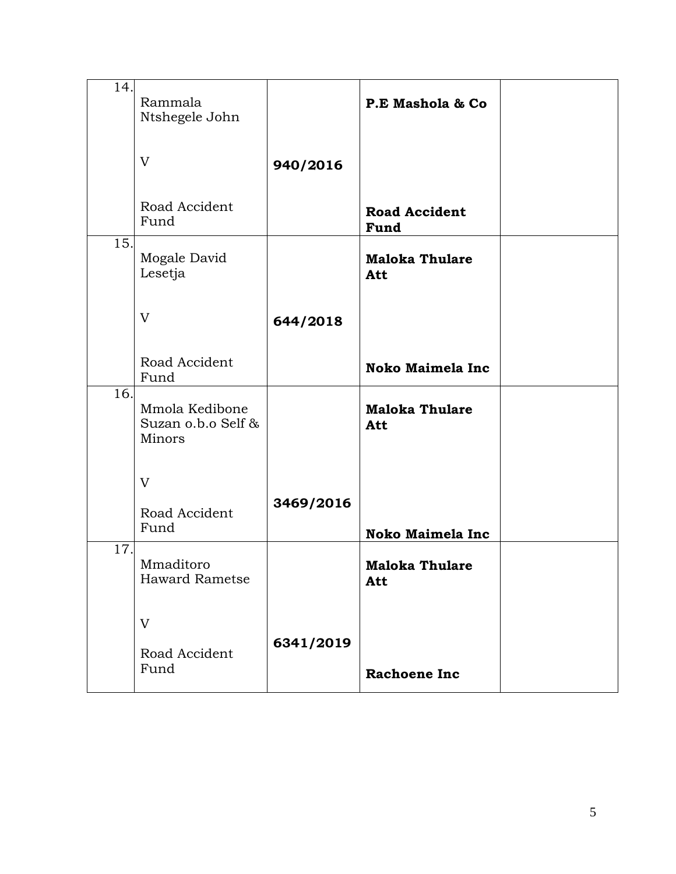| 14. | Rammala<br>Ntshegele John                      |           | P.E Mashola & Co             |  |
|-----|------------------------------------------------|-----------|------------------------------|--|
|     | V                                              | 940/2016  |                              |  |
|     | Road Accident<br>Fund                          |           | <b>Road Accident</b><br>Fund |  |
| 15. | Mogale David<br>Lesetja                        |           | <b>Maloka Thulare</b><br>Att |  |
|     | V                                              | 644/2018  |                              |  |
|     | Road Accident<br>Fund                          |           | Noko Maimela Inc             |  |
| 16. | Mmola Kedibone<br>Suzan o.b.o Self &<br>Minors |           | <b>Maloka Thulare</b><br>Att |  |
|     | V<br>Road Accident<br>Fund                     | 3469/2016 | <b>Noko Maimela Inc</b>      |  |
| 17. | Mmaditoro<br><b>Haward Rametse</b>             |           | <b>Maloka Thulare</b><br>Att |  |
|     | V<br>Road Accident<br>Fund                     | 6341/2019 | <b>Rachoene Inc</b>          |  |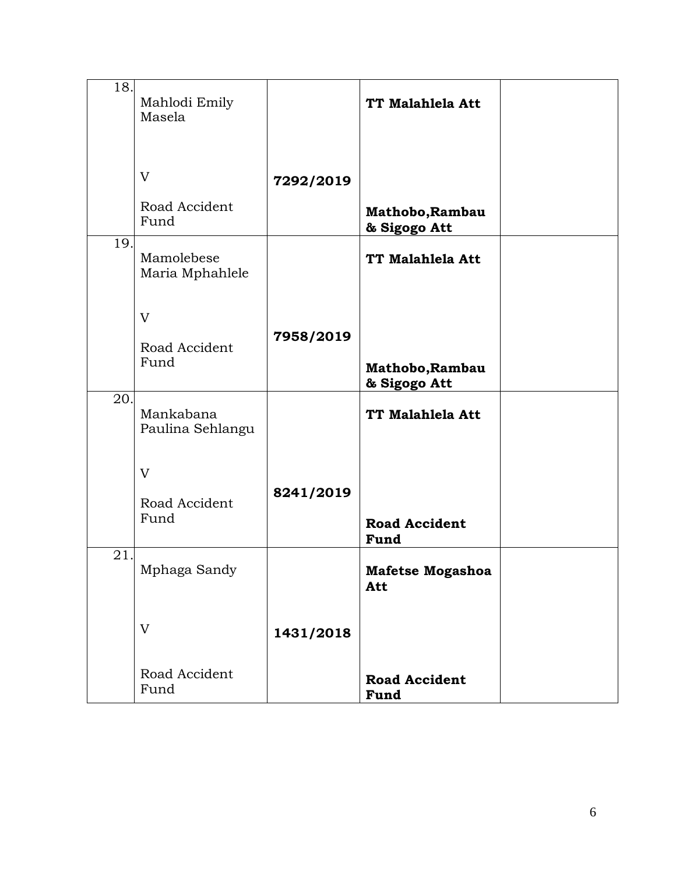| 18. | Mahlodi Emily<br>Masela       |           | TT Malahlela Att                |  |
|-----|-------------------------------|-----------|---------------------------------|--|
|     | V<br>Road Accident            | 7292/2019 |                                 |  |
|     | Fund                          |           | Mathobo, Rambau<br>& Sigogo Att |  |
| 19. | Mamolebese<br>Maria Mphahlele |           | TT Malahlela Att                |  |
|     | V                             |           |                                 |  |
|     | Road Accident<br>Fund         | 7958/2019 | Mathobo, Rambau<br>& Sigogo Att |  |
| 20. | Mankabana<br>Paulina Sehlangu |           | TT Malahlela Att                |  |
|     | V                             |           |                                 |  |
|     | Road Accident<br>Fund         | 8241/2019 | <b>Road Accident</b><br>Fund    |  |
| 21. | Mphaga Sandy                  |           | <b>Mafetse Mogashoa</b><br>Att  |  |
|     | V                             | 1431/2018 |                                 |  |
|     | Road Accident<br>Fund         |           | <b>Road Accident</b><br>Fund    |  |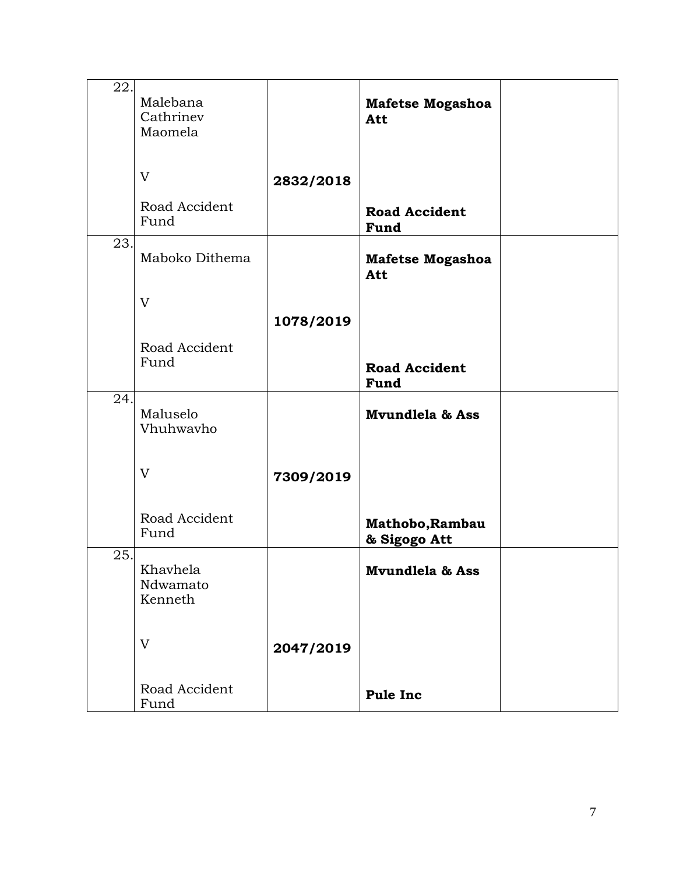| 22. | Malebana<br>Cathrinev<br>Maomela |           | <b>Mafetse Mogashoa</b><br>Att  |  |
|-----|----------------------------------|-----------|---------------------------------|--|
|     | V                                | 2832/2018 |                                 |  |
|     | Road Accident<br>Fund            |           | <b>Road Accident</b><br>Fund    |  |
| 23. | Maboko Dithema                   |           | <b>Mafetse Mogashoa</b><br>Att  |  |
|     | V                                | 1078/2019 |                                 |  |
|     | Road Accident<br>Fund            |           | <b>Road Accident</b><br>Fund    |  |
| 24. | Maluselo<br>Vhuhwavho            |           | <b>Mvundlela &amp; Ass</b>      |  |
|     | V                                | 7309/2019 |                                 |  |
|     | Road Accident<br>Fund            |           | Mathobo, Rambau<br>& Sigogo Att |  |
| 25. | Khavhela<br>Ndwamato<br>Kenneth  |           | Mvundlela & Ass                 |  |
|     | V                                | 2047/2019 |                                 |  |
|     | Road Accident<br>Fund            |           | <b>Pule Inc</b>                 |  |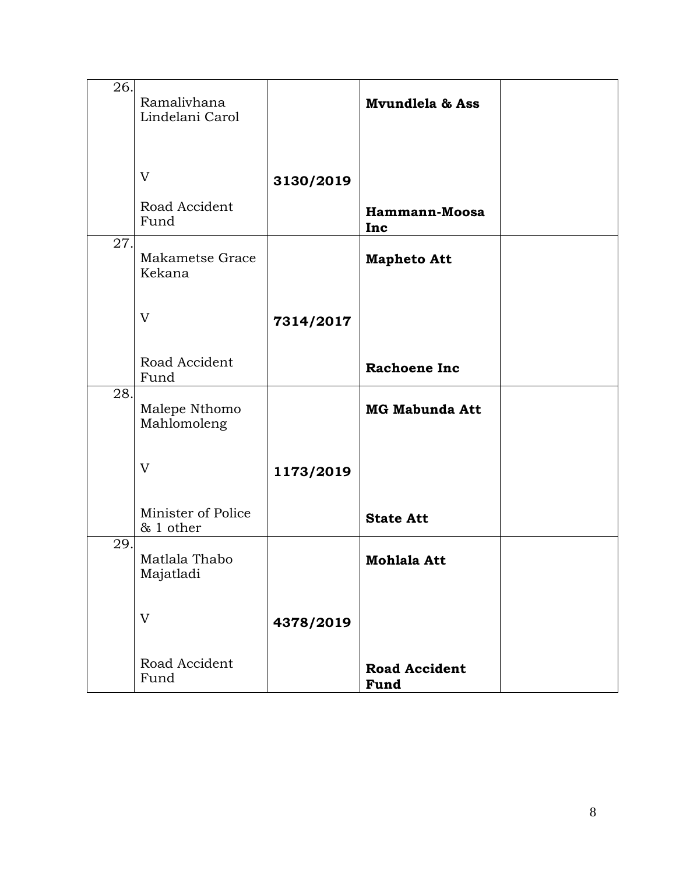| 26.               | Ramalivhana<br>Lindelani Carol  |           | Mvundlela & Ass                     |  |
|-------------------|---------------------------------|-----------|-------------------------------------|--|
|                   | V                               | 3130/2019 |                                     |  |
|                   | Road Accident<br>Fund           |           | Hammann-Moosa<br>Inc                |  |
| 27.               | Makametse Grace<br>Kekana       |           | <b>Mapheto Att</b>                  |  |
|                   | V                               | 7314/2017 |                                     |  |
|                   | Road Accident<br>Fund           |           | <b>Rachoene Inc</b>                 |  |
| $\overline{28}$ . | Malepe Nthomo<br>Mahlomoleng    |           | <b>MG Mabunda Att</b>               |  |
|                   | V                               | 1173/2019 |                                     |  |
|                   | Minister of Police<br>& 1 other |           | <b>State Att</b>                    |  |
| 29.               | Matlala Thabo<br>Majatladi      |           | <b>Mohlala Att</b>                  |  |
|                   | V                               | 4378/2019 |                                     |  |
|                   | Road Accident<br>Fund           |           | <b>Road Accident</b><br><b>Fund</b> |  |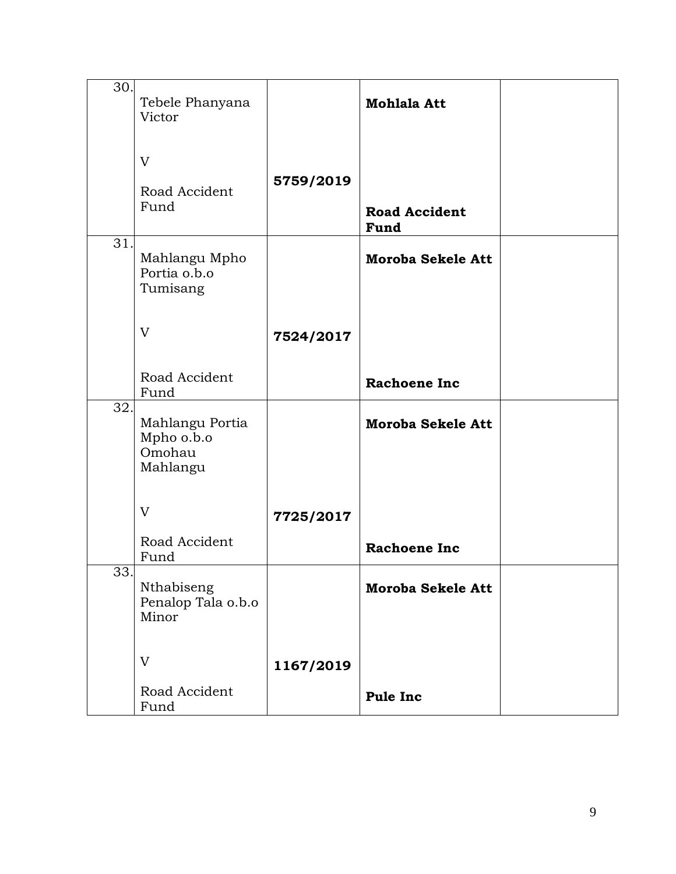| 30.               | Tebele Phanyana<br>Victor                           |           | <b>Mohlala Att</b>           |  |
|-------------------|-----------------------------------------------------|-----------|------------------------------|--|
|                   | V<br>Road Accident<br>Fund                          | 5759/2019 | <b>Road Accident</b><br>Fund |  |
| $\overline{3}1.$  | Mahlangu Mpho<br>Portia o.b.o<br>Tumisang           |           | <b>Moroba Sekele Att</b>     |  |
|                   | V                                                   | 7524/2017 |                              |  |
|                   | Road Accident<br>Fund                               |           | <b>Rachoene Inc</b>          |  |
| $\overline{32}$ . | Mahlangu Portia<br>Mpho o.b.o<br>Omohau<br>Mahlangu |           | <b>Moroba Sekele Att</b>     |  |
|                   | V                                                   | 7725/2017 |                              |  |
|                   | Road Accident<br>Fund                               |           | <b>Rachoene Inc</b>          |  |
| 33.               | Nthabiseng<br>Penalop Tala o.b.o<br>Minor           |           | <b>Moroba Sekele Att</b>     |  |
|                   | V                                                   | 1167/2019 |                              |  |
|                   | Road Accident<br>Fund                               |           | <b>Pule Inc</b>              |  |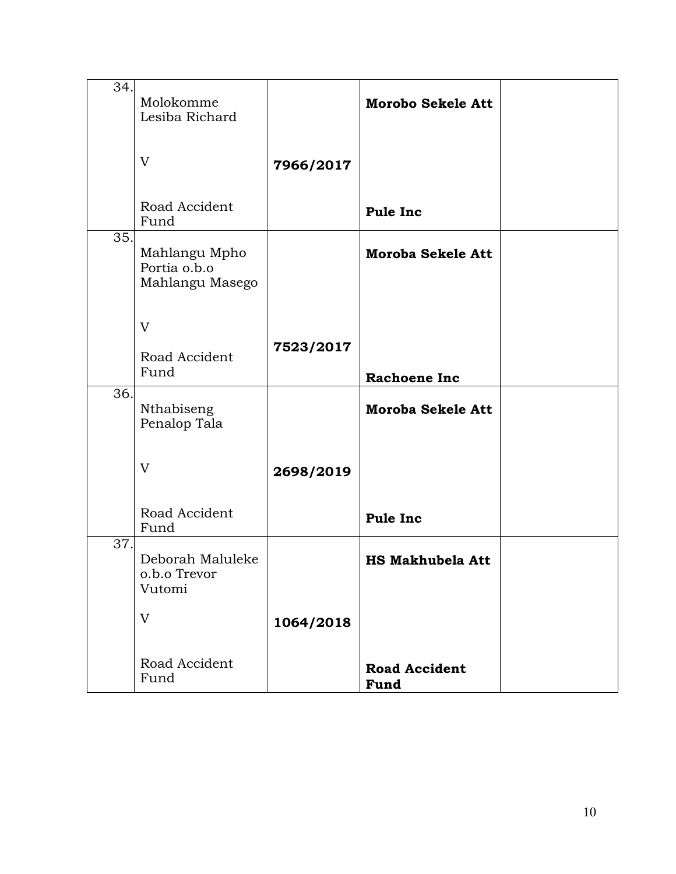| 34.               | Molokomme<br>Lesiba Richard                      |           | <b>Morobo Sekele Att</b>     |  |
|-------------------|--------------------------------------------------|-----------|------------------------------|--|
|                   | V                                                | 7966/2017 |                              |  |
|                   | Road Accident<br>Fund                            |           | <b>Pule Inc</b>              |  |
| 35.               | Mahlangu Mpho<br>Portia o.b.o<br>Mahlangu Masego |           | <b>Moroba Sekele Att</b>     |  |
|                   | V                                                |           |                              |  |
|                   | Road Accident<br>Fund                            | 7523/2017 | <b>Rachoene Inc</b>          |  |
| $\overline{36}$ . | Nthabiseng<br>Penalop Tala                       |           | <b>Moroba Sekele Att</b>     |  |
|                   | V                                                | 2698/2019 |                              |  |
|                   | Road Accident<br>Fund                            |           | <b>Pule Inc</b>              |  |
| 37.               | Deborah Maluleke<br>o.b.o Trevor<br>Vutomi       |           | <b>HS Makhubela Att</b>      |  |
|                   | V                                                | 1064/2018 |                              |  |
|                   | Road Accident<br>Fund                            |           | <b>Road Accident</b><br>Fund |  |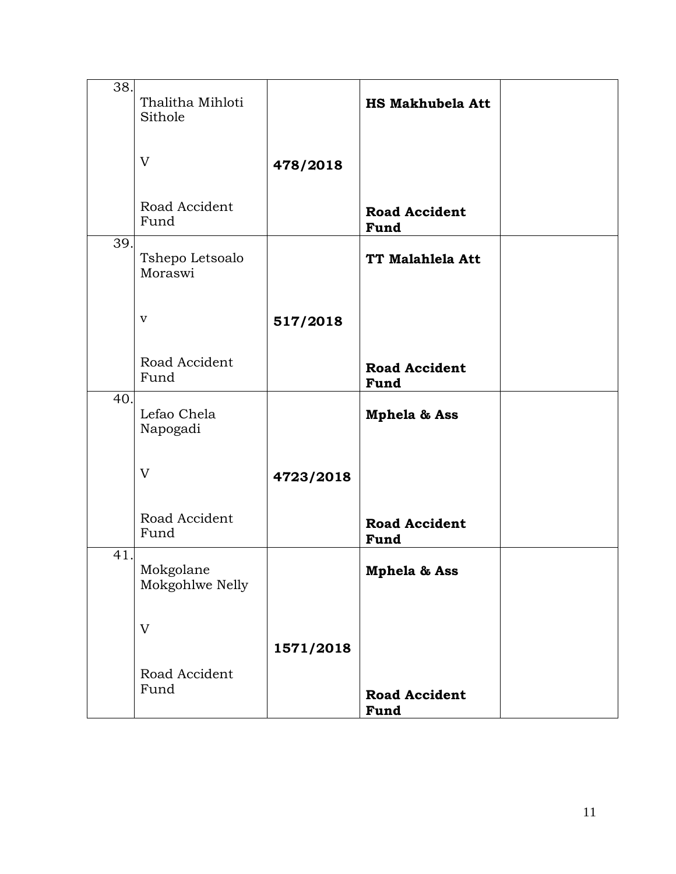| 38. | Thalitha Mihloti<br>Sithole  |           | <b>HS Makhubela Att</b>      |  |
|-----|------------------------------|-----------|------------------------------|--|
|     | V                            | 478/2018  |                              |  |
|     | Road Accident<br>Fund        |           | <b>Road Accident</b><br>Fund |  |
| 39. | Tshepo Letsoalo<br>Moraswi   |           | TT Malahlela Att             |  |
|     | $\mathbf{V}$                 | 517/2018  |                              |  |
|     | Road Accident<br>Fund        |           | <b>Road Accident</b><br>Fund |  |
| 40. | Lefao Chela<br>Napogadi      |           | <b>Mphela &amp; Ass</b>      |  |
|     | V                            | 4723/2018 |                              |  |
|     | Road Accident<br>Fund        |           | <b>Road Accident</b><br>Fund |  |
| 41. | Mokgolane<br>Mokgohlwe Nelly |           | <b>Mphela &amp; Ass</b>      |  |
|     | V                            | 1571/2018 |                              |  |
|     | Road Accident<br>Fund        |           | <b>Road Accident</b><br>Fund |  |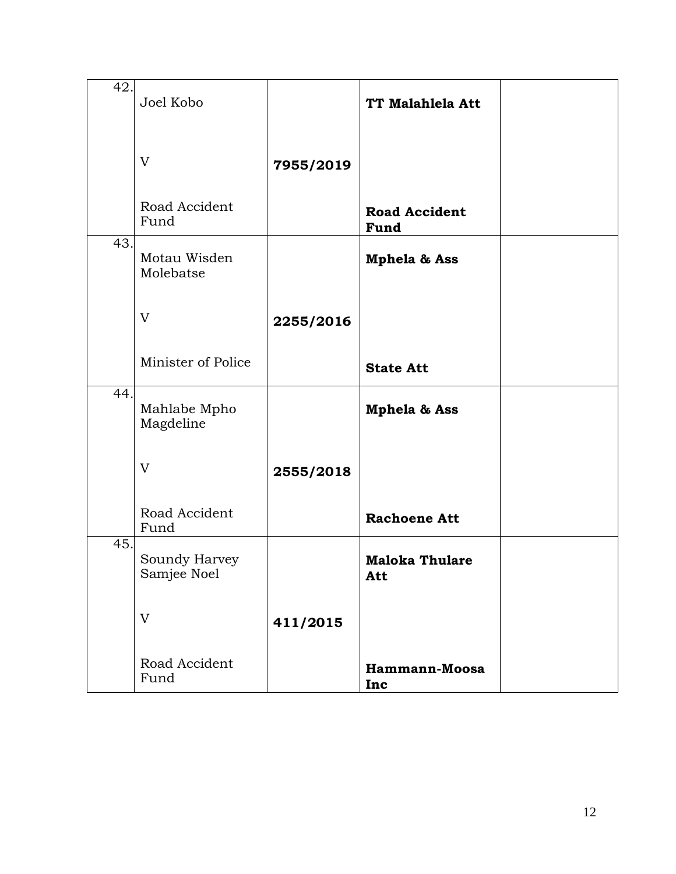| 42. | Joel Kobo                    |           | TT Malahlela Att             |  |
|-----|------------------------------|-----------|------------------------------|--|
|     | V                            | 7955/2019 |                              |  |
|     | Road Accident<br>Fund        |           | <b>Road Accident</b><br>Fund |  |
| 43. | Motau Wisden<br>Molebatse    |           | Mphela & Ass                 |  |
|     | V                            | 2255/2016 |                              |  |
|     | Minister of Police           |           | <b>State Att</b>             |  |
| 44. | Mahlabe Mpho<br>Magdeline    |           | Mphela & Ass                 |  |
|     | V                            | 2555/2018 |                              |  |
|     | Road Accident<br>Fund        |           | <b>Rachoene Att</b>          |  |
| 45. | Soundy Harvey<br>Samjee Noel |           | <b>Maloka Thulare</b><br>Att |  |
|     | V                            | 411/2015  |                              |  |
|     | Road Accident<br>Fund        |           | Hammann-Moosa<br>Inc         |  |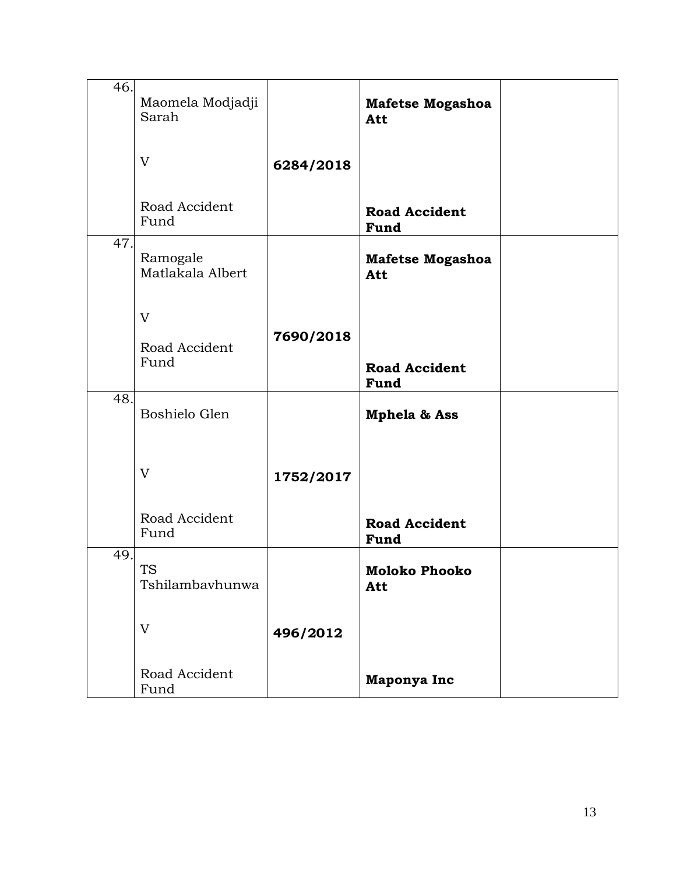| 46. | Maomela Modjadji<br>Sarah    |           | Mafetse Mogashoa<br>Att        |  |
|-----|------------------------------|-----------|--------------------------------|--|
|     | V                            | 6284/2018 |                                |  |
|     | Road Accident<br>Fund        |           | <b>Road Accident</b><br>Fund   |  |
| 47. | Ramogale<br>Matlakala Albert |           | <b>Mafetse Mogashoa</b><br>Att |  |
|     | V<br>Road Accident<br>Fund   | 7690/2018 | <b>Road Accident</b><br>Fund   |  |
| 48. | Boshielo Glen                |           | <b>Mphela &amp; Ass</b>        |  |
|     | V                            | 1752/2017 |                                |  |
|     | Road Accident<br>Fund        |           | <b>Road Accident</b><br>Fund   |  |
| 49. | <b>TS</b><br>Tshilambavhunwa |           | Moloko Phooko<br>Att           |  |
|     | V                            | 496/2012  |                                |  |
|     | Road Accident<br>Fund        |           | Maponya Inc                    |  |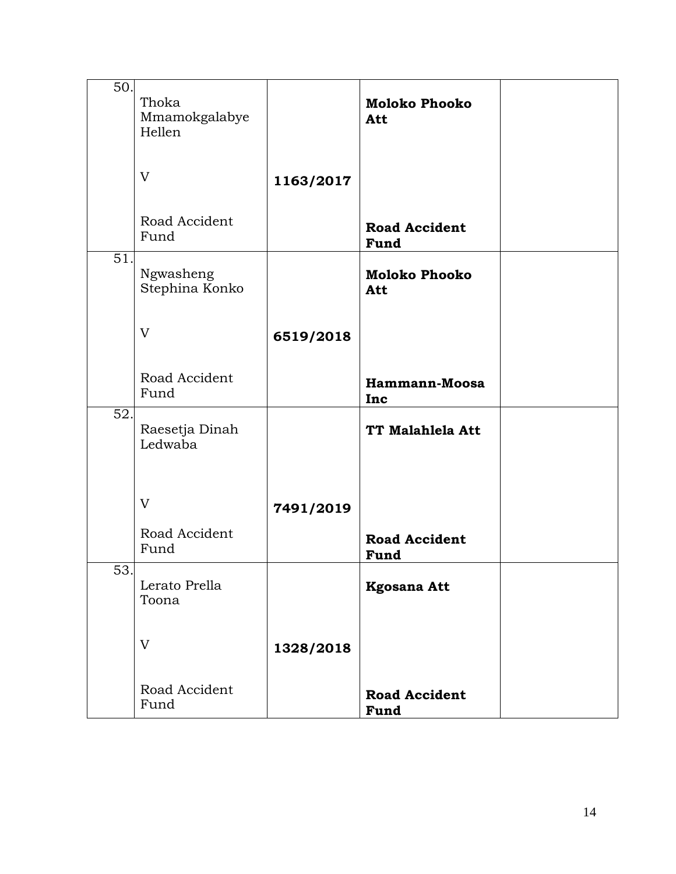| 50. | Thoka<br>Mmamokgalabye<br>Hellen |           | <b>Moloko Phooko</b><br>Att  |  |
|-----|----------------------------------|-----------|------------------------------|--|
|     | V                                | 1163/2017 |                              |  |
|     | Road Accident<br>Fund            |           | <b>Road Accident</b><br>Fund |  |
| 51. | Ngwasheng<br>Stephina Konko      |           | <b>Moloko Phooko</b><br>Att  |  |
|     | V                                | 6519/2018 |                              |  |
|     | Road Accident<br>Fund            |           | Hammann-Moosa<br>Inc         |  |
| 52. | Raesetja Dinah<br>Ledwaba        |           | TT Malahlela Att             |  |
|     | V                                | 7491/2019 |                              |  |
|     | Road Accident<br>Fund            |           | <b>Road Accident</b><br>Fund |  |
| 53. | Lerato Prella<br>Toona           |           | <b>Kgosana Att</b>           |  |
|     | V                                | 1328/2018 |                              |  |
|     | Road Accident<br>Fund            |           | <b>Road Accident</b><br>Fund |  |